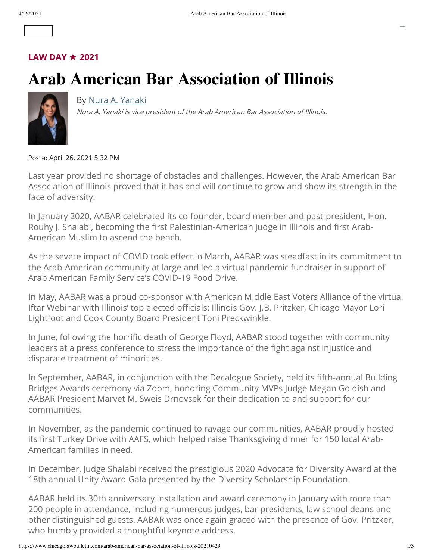#### **[LAW DAY](https://www.chicagolawbulletin.com/law-day)** ★ **2021**

## **Arab American Bar Association of Illinois**



#### By [Nura A. Yanaki](mailto:editor@lawbulletinmedia.com?subject=Column%20by%20Nura%20A.%20Yanaki)

Nura A. Yanaki is vice president of the Arab American Bar Association of Illinois.

POSTED April 26, 2021 5:32 PM

Last year provided no shortage of obstacles and challenges. However, the Arab American Bar Association of Illinois proved that it has and will continue to grow and show its strength in the face of adversity.

In January 2020, AABAR celebrated its co-founder, board member and past-president, Hon. Rouhy J. Shalabi, becoming the first Palestinian-American judge in Illinois and first Arab-American Muslim to ascend the bench.

As the severe impact of COVID took effect in March, AABAR was steadfast in its commitment to the Arab-American community at large and led a virtual pandemic fundraiser in support of Arab American Family Service's COVID-19 Food Drive.

In May, AABAR was a proud co-sponsor with American Middle East Voters Alliance of the virtual Iftar Webinar with Illinois' top elected officials: Illinois Gov. J.B. Pritzker, Chicago Mayor Lori Lightfoot and Cook County Board President Toni Preckwinkle.

In June, following the horrific death of George Floyd, AABAR stood together with community leaders at a press conference to stress the importance of the fight against injustice and disparate treatment of minorities.

In September, AABAR, in conjunction with the Decalogue Society, held its fifth-annual Building Bridges Awards ceremony via Zoom, honoring Community MVPs Judge Megan Goldish and AABAR President Marvet M. Sweis Drnovsek for their dedication to and support for our communities.

In November, as the pandemic continued to ravage our communities, AABAR proudly hosted its first Turkey Drive with AAFS, which helped raise Thanksgiving dinner for 150 local Arab-American families in need.

In December, Judge Shalabi received the prestigious 2020 Advocate for Diversity Award at the 18th annual Unity Award Gala presented by the Diversity Scholarship Foundation.

AABAR held its 30th anniversary installation and award ceremony in January with more than 200 people in attendance, including numerous judges, bar presidents, law school deans and other distinguished guests. AABAR was once again graced with the presence of Gov. Pritzker, who humbly provided a thoughtful keynote address.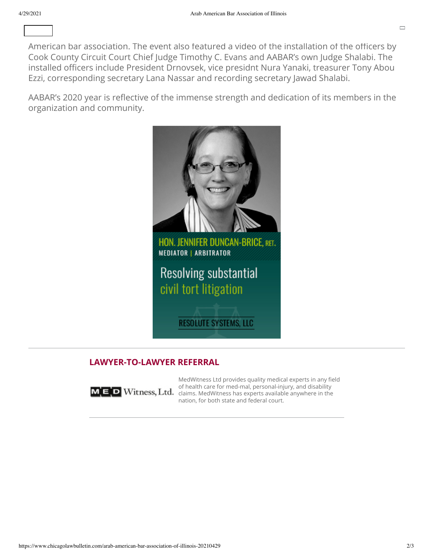American bar association. The event also featured a video of the installation of the officers by Cook County Circuit Court Chief Judge Timothy C. Evans and AABAR's own Judge Shalabi. The installed officers include President Drnovsek, vice presidnt Nura Yanaki, treasurer Tony Abou Ezzi, corresponding secretary Lana Nassar and recording secretary Jawad Shalabi.

We awarded AABAR's rst-ever Lifetime AABAR's rst-ever Lifetime Award to Judge William J. Haddad — Judge William  $\overline{\phantom{a}}$  and founder  $\overline{\phantom{a}}$  the corform  $\overline{\phantom{a}}$  rst Arab- $\overline{\phantom{a}}$  rst Arab- $\overline{\phantom{a}}$ 

AABAR's 2020 year is reflective of the immense strength and dedication of its members in the organization and community.



#### **LAWYER-TO-LAWYER REFERRAL**



MedWitness Ltd provides quality medical experts in any field of health care for med-mal, personal-injury, and disability MED Witness, Ltd. [claims. MedWitness](https://display.lawbulletin.com/www/delivery/ck.php?oaparams=2__bannerid=4970__zoneid=258__cb=64c051d355__oadest=https%3A%2F%2Fwww.medwitness.com%2Flawyers) has experts available anywhere in the nation, for both state and federal court.